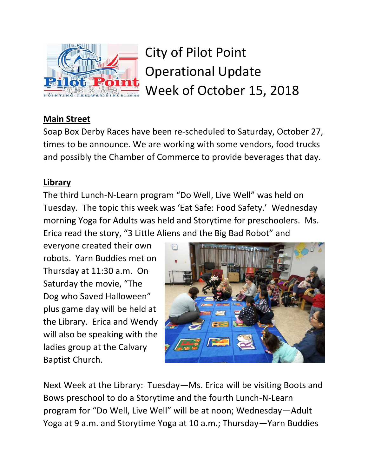

City of Pilot Point Operational Update Week of October 15, 2018

## **Main Street**

Soap Box Derby Races have been re-scheduled to Saturday, October 27, times to be announce. We are working with some vendors, food trucks and possibly the Chamber of Commerce to provide beverages that day.

### **Library**

The third Lunch-N-Learn program "Do Well, Live Well" was held on Tuesday. The topic this week was 'Eat Safe: Food Safety.' Wednesday morning Yoga for Adults was held and Storytime for preschoolers. Ms. Erica read the story, "3 Little Aliens and the Big Bad Robot" and

everyone created their own robots. Yarn Buddies met on Thursday at 11:30 a.m. On Saturday the movie, "The Dog who Saved Halloween" plus game day will be held at the Library. Erica and Wendy will also be speaking with the ladies group at the Calvary Baptist Church.



Next Week at the Library: Tuesday—Ms. Erica will be visiting Boots and Bows preschool to do a Storytime and the fourth Lunch-N-Learn program for "Do Well, Live Well" will be at noon; Wednesday—Adult Yoga at 9 a.m. and Storytime Yoga at 10 a.m.; Thursday—Yarn Buddies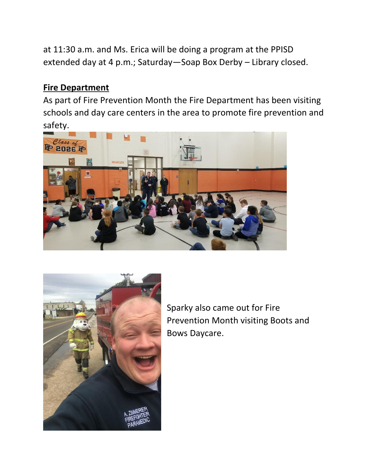at 11:30 a.m. and Ms. Erica will be doing a program at the PPISD extended day at 4 p.m.; Saturday—Soap Box Derby – Library closed.

#### **Fire Department**

As part of Fire Prevention Month the Fire Department has been visiting schools and day care centers in the area to promote fire prevention and safety.





Sparky also came out for Fire Prevention Month visiting Boots and Bows Daycare.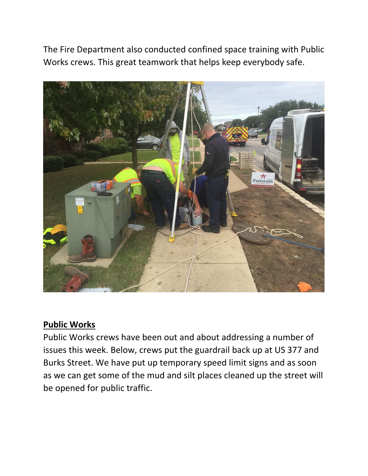The Fire Department also conducted confined space training with Public Works crews. This great teamwork that helps keep everybody safe.



#### **Public Works**

Public Works crews have been out and about addressing a number of issues this week. Below, crews put the guardrail back up at US 377 and Burks Street. We have put up temporary speed limit signs and as soon as we can get some of the mud and silt places cleaned up the street will be opened for public traffic.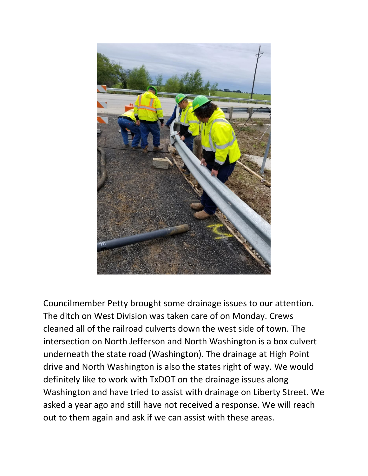

Councilmember Petty brought some drainage issues to our attention. The ditch on West Division was taken care of on Monday. Crews cleaned all of the railroad culverts down the west side of town. The intersection on North Jefferson and North Washington is a box culvert underneath the state road (Washington). The drainage at High Point drive and North Washington is also the states right of way. We would definitely like to work with TxDOT on the drainage issues along Washington and have tried to assist with drainage on Liberty Street. We asked a year ago and still have not received a response. We will reach out to them again and ask if we can assist with these areas.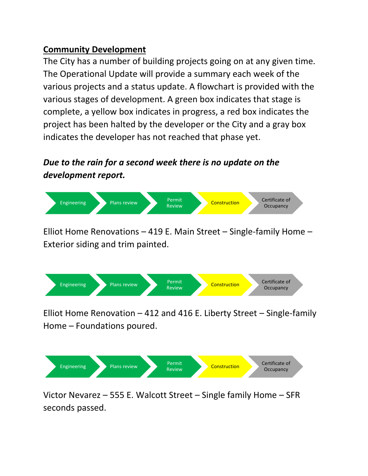## **Community Development**

The City has a number of building projects going on at any given time. The Operational Update will provide a summary each week of the various projects and a status update. A flowchart is provided with the various stages of development. A green box indicates that stage is complete, a yellow box indicates in progress, a red box indicates the project has been halted by the developer or the City and a gray box indicates the developer has not reached that phase yet.

# *Due to the rain for a second week there is no update on the development report.*



Elliot Home Renovations – 419 E. Main Street – Single-family Home – Exterior siding and trim painted.



Elliot Home Renovation – 412 and 416 E. Liberty Street – Single-family Home – Foundations poured.



Victor Nevarez – 555 E. Walcott Street – Single family Home – SFR seconds passed.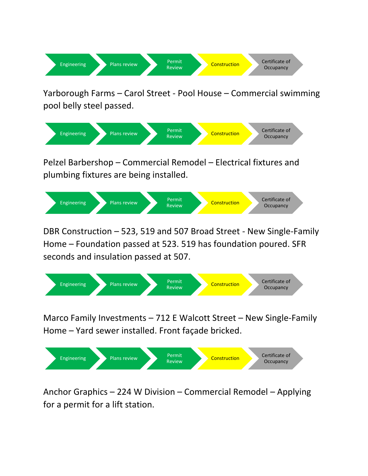

Yarborough Farms – Carol Street - Pool House – Commercial swimming pool belly steel passed.



Pelzel Barbershop – Commercial Remodel – Electrical fixtures and plumbing fixtures are being installed.



DBR Construction – 523, 519 and 507 Broad Street - New Single-Family Home – Foundation passed at 523. 519 has foundation poured. SFR seconds and insulation passed at 507.



Marco Family Investments – 712 E Walcott Street – New Single-Family Home – Yard sewer installed. Front façade bricked.



Anchor Graphics – 224 W Division – Commercial Remodel – Applying for a permit for a lift station.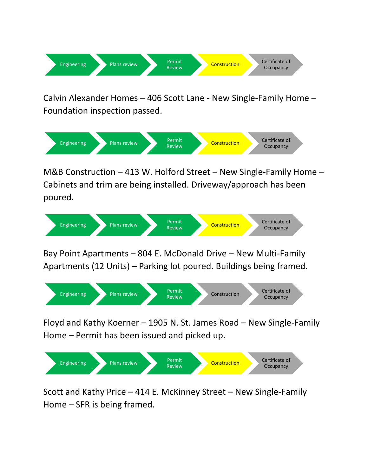

Calvin Alexander Homes – 406 Scott Lane - New Single-Family Home – Foundation inspection passed.



M&B Construction – 413 W. Holford Street – New Single-Family Home – Cabinets and trim are being installed. Driveway/approach has been poured.



Bay Point Apartments – 804 E. McDonald Drive – New Multi-Family Apartments (12 Units) – Parking lot poured. Buildings being framed.



Floyd and Kathy Koerner – 1905 N. St. James Road – New Single-Family Home – Permit has been issued and picked up.



Scott and Kathy Price – 414 E. McKinney Street – New Single-Family Home – SFR is being framed.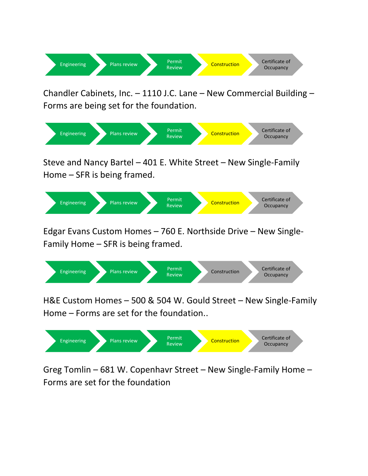

Chandler Cabinets, Inc. – 1110 J.C. Lane – New Commercial Building – Forms are being set for the foundation.



Steve and Nancy Bartel – 401 E. White Street – New Single-Family Home – SFR is being framed.



Edgar Evans Custom Homes – 760 E. Northside Drive – New Single-Family Home – SFR is being framed.



H&E Custom Homes – 500 & 504 W. Gould Street – New Single-Family Home – Forms are set for the foundation..



Greg Tomlin – 681 W. Copenhavr Street – New Single-Family Home – Forms are set for the foundation